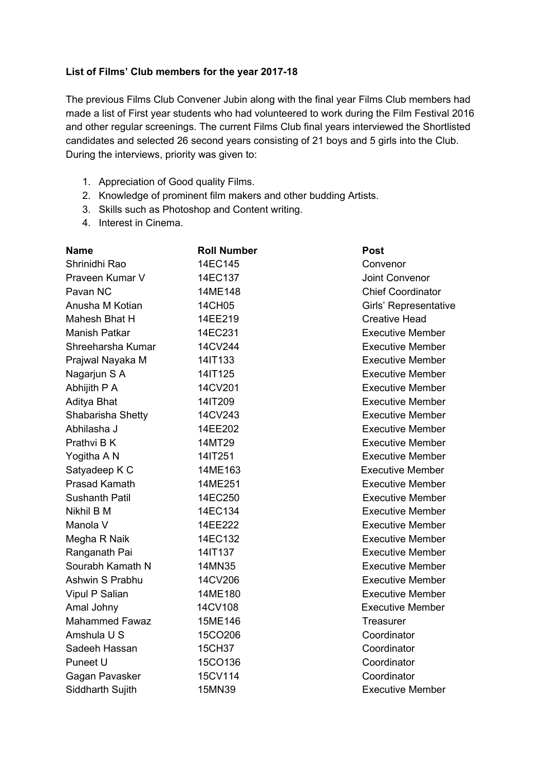## **List of Films' Club members for the year 2017-18**

The previous Films Club Convener Jubin along with the final year Films Club members had made a list of First year students who had volunteered to work during the Film Festival 2016 and other regular screenings. The current Films Club final years interviewed the Shortlisted candidates and selected 26 second years consisting of 21 boys and 5 girls into the Club. During the interviews, priority was given to:

- 1. Appreciation of Good quality Films.
- 2. Knowledge of prominent film makers and other budding Artists.
- 3. Skills such as Photoshop and Content writing.
- 4. Interest in Cinema.

| Name                  | <b>Roll Number</b> | Post                     |
|-----------------------|--------------------|--------------------------|
| Shrinidhi Rao         | 14EC145            | Convenor                 |
| Praveen Kumar V       | 14EC137            | Joint Convenor           |
| Pavan NC              | 14ME148            | <b>Chief Coordinator</b> |
| Anusha M Kotian       | 14CH05             | Girls' Representative    |
| Mahesh Bhat H         | 14EE219            | <b>Creative Head</b>     |
| <b>Manish Patkar</b>  | 14EC231            | <b>Executive Member</b>  |
| Shreeharsha Kumar     | 14CV244            | <b>Executive Member</b>  |
| Prajwal Nayaka M      | 14IT133            | <b>Executive Member</b>  |
| Nagarjun S A          | 14IT125            | <b>Executive Member</b>  |
| Abhijith P A          | 14CV201            | <b>Executive Member</b>  |
| Aditya Bhat           | 14IT209            | <b>Executive Member</b>  |
| Shabarisha Shetty     | 14CV243            | <b>Executive Member</b>  |
| Abhilasha J           | 14EE202            | <b>Executive Member</b>  |
| Prathvi B K           | 14MT29             | <b>Executive Member</b>  |
| Yogitha A N           | 14IT251            | <b>Executive Member</b>  |
| Satyadeep K C         | 14ME163            | <b>Executive Member</b>  |
| <b>Prasad Kamath</b>  | 14ME251            | <b>Executive Member</b>  |
| <b>Sushanth Patil</b> | 14EC250            | <b>Executive Member</b>  |
| Nikhil B M            | 14EC134            | <b>Executive Member</b>  |
| Manola V              | 14EE222            | <b>Executive Member</b>  |
| Megha R Naik          | 14EC132            | <b>Executive Member</b>  |
| Ranganath Pai         | 14IT137            | <b>Executive Member</b>  |
| Sourabh Kamath N      | 14MN35             | <b>Executive Member</b>  |
| Ashwin S Prabhu       | 14CV206            | <b>Executive Member</b>  |
| Vipul P Salian        | 14ME180            | <b>Executive Member</b>  |
| Amal Johny            | 14CV108            | <b>Executive Member</b>  |
| <b>Mahammed Fawaz</b> | 15ME146            | <b>Treasurer</b>         |
| Amshula U S           | 15CO206            | Coordinator              |
| Sadeeh Hassan         | 15CH37             | Coordinator              |
| Puneet U              | 15CO136            | Coordinator              |
| Gagan Pavasker        | 15CV114            | Coordinator              |
| Siddharth Sujith      | 15MN39             | <b>Executive Member</b>  |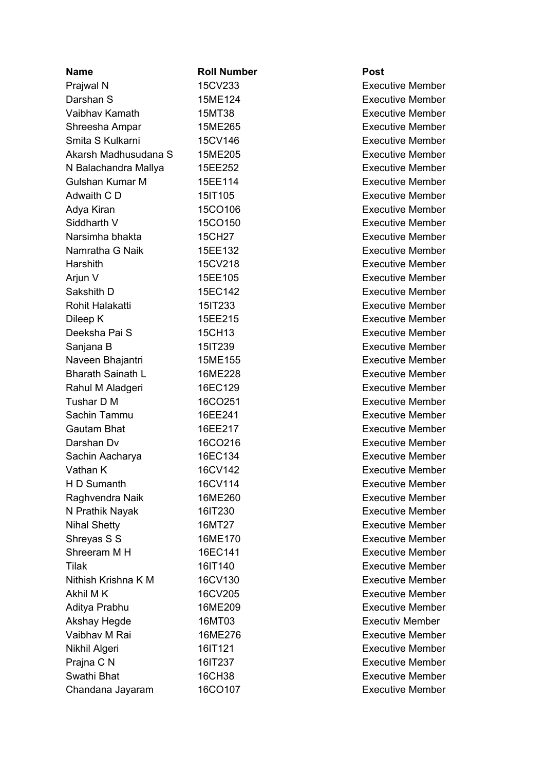| <b>Name</b>              | <b>Roll Number</b> |
|--------------------------|--------------------|
| Prajwal N                | 15CV233            |
| Darshan S                | 15ME124            |
| Vaibhav Kamath           | 15MT38             |
| Shreesha Ampar           | 15ME265            |
| Smita S Kulkarni         | 15CV146            |
| Akarsh Madhusudana S     | 15ME205            |
| N Balachandra Mallya     | 15EE252            |
| Gulshan Kumar M          | 15EE114            |
| Adwaith C D              | 15IT105            |
| Adya Kiran               | 15CO106            |
| Siddharth V              | 15CO150            |
| Narsimha bhakta          | 15CH27             |
| Namratha G Naik          | 15EE132            |
| Harshith                 | 15CV218            |
| Arjun V                  | 15EE105            |
| Sakshith D               | 15EC142            |
| Rohit Halakatti          | 15IT233            |
| Dileep K                 | 15EE215            |
| Deeksha Pai S            | 15CH13             |
| Sanjana B                | 15IT239            |
| Naveen Bhajantri         | 15ME155            |
| <b>Bharath Sainath L</b> | 16ME228            |
| Rahul M Aladgeri         | 16EC129            |
| Tushar D M               | 16CO251            |
| Sachin Tammu             | 16EE241            |
| <b>Gautam Bhat</b>       | 16EE217            |
| Darshan Dv               | 16CO216            |
| Sachin Aacharya          | 16EC134            |
| Vathan K                 | 16CV142            |
| H D Sumanth              | 16CV114            |
| Raghvendra Naik          | 16ME260            |
| N Prathik Nayak          | 16IT230            |
| <b>Nihal Shetty</b>      | 16MT27             |
| Shreyas S S              | 16ME170            |
| Shreeram M H             | 16EC141            |
| Tilak                    | 16IT140            |
| Nithish Krishna K M      | 16CV130            |
| Akhil M K                | 16CV205            |
| Aditya Prabhu            | 16ME209            |
| <b>Akshay Hegde</b>      | 16MT03             |
| Vaibhay M Rai            | 16ME276            |
| Nikhil Algeri            | 16IT121            |
| Prajna C N               | 16IT237            |
| Swathi Bhat              | 16CH38             |
| Chandana Jayaram         | 16CO107            |

## **P o s t**

Executive Member Executive Member Executive Member Executive Member Executive Member Executive Member Executive Member Executive Member Executive Member Executive Member Executive Member Executive Member Executive Member Executive Member Executive Member Executive Member Executive Member Executive Member Executive Member Executive Member Executive Member Executive Member Executive Member Executive Member Executive Member Executive Member Executive Member Executive Member Executive Member Executive Member Executive Member Executive Member Executive Member Executive Member Executive Member Executive Member Executive Member Executive Member Executive Member Executiv Member Executive Member Executive Member Executive Member Executive Member Executive Member